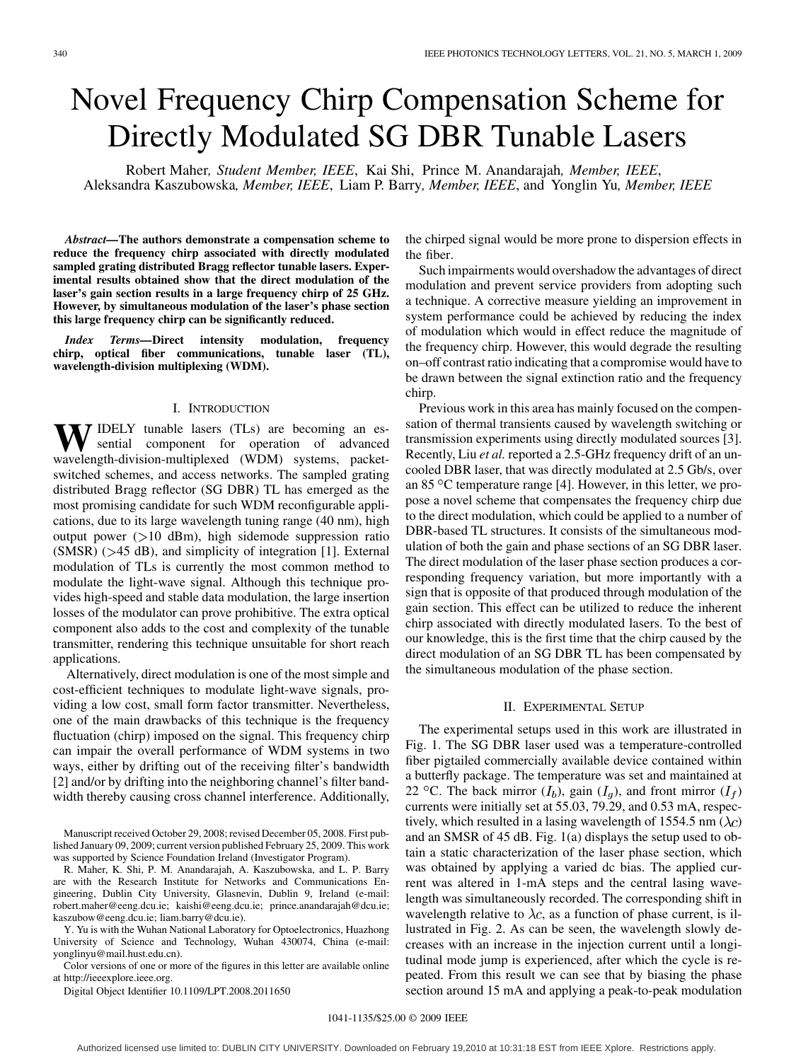# Novel Frequency Chirp Compensation Scheme for Directly Modulated SG DBR Tunable Lasers

Robert Maher*, Student Member, IEEE*, Kai Shi, Prince M. Anandarajah*, Member, IEEE*, Aleksandra Kaszubowska*, Member, IEEE*, Liam P. Barry*, Member, IEEE*, and Yonglin Yu*, Member, IEEE*

*Abstract—***The authors demonstrate a compensation scheme to reduce the frequency chirp associated with directly modulated sampled grating distributed Bragg reflector tunable lasers. Experimental results obtained show that the direct modulation of the laser's gain section results in a large frequency chirp of 25 GHz. However, by simultaneous modulation of the laser's phase section this large frequency chirp can be significantly reduced.**

*Index Terms—***Direct intensity modulation, frequency chirp, optical fiber communications, tunable laser (TL), wavelength-division multiplexing (WDM).**

#### I. INTRODUCTION

**W** IDELY tunable lasers (TLs) are becoming an essential component for operation of advanced wavelength-division-multiplexed (WDM) systems, packetswitched schemes, and access networks. The sampled grating distributed Bragg reflector (SG DBR) TL has emerged as the most promising candidate for such WDM reconfigurable applications, due to its large wavelength tuning range (40 nm), high output power  $(>10$  dBm), high sidemode suppression ratio  $(SMSR)$  ( $>45$  dB), and simplicity of integration [1]. External modulation of TLs is currently the most common method to modulate the light-wave signal. Although this technique provides high-speed and stable data modulation, the large insertion losses of the modulator can prove prohibitive. The extra optical component also adds to the cost and complexity of the tunable transmitter, rendering this technique unsuitable for short reach applications.

Alternatively, direct modulation is one of the most simple and cost-efficient techniques to modulate light-wave signals, providing a low cost, small form factor transmitter. Nevertheless, one of the main drawbacks of this technique is the frequency fluctuation (chirp) imposed on the signal. This frequency chirp can impair the overall performance of WDM systems in two ways, either by drifting out of the receiving filter's bandwidth [2] and/or by drifting into the neighboring channel's filter bandwidth thereby causing cross channel interference. Additionally,

Manuscript received October 29, 2008; revised December 05, 2008. First published January 09, 2009; current version published February 25, 2009. This work was supported by Science Foundation Ireland (Investigator Program).

R. Maher, K. Shi, P. M. Anandarajah, A. Kaszubowska, and L. P. Barry are with the Research Institute for Networks and Communications Engineering, Dublin City University, Glasnevin, Dublin 9, Ireland (e-mail: robert.maher@eeng.dcu.ie; kaishi@eeng.dcu.ie; prince.anandarajah@dcu.ie; kaszubow@eeng.dcu.ie; liam.barry@dcu.ie).

Y. Yu is with the Wuhan National Laboratory for Optoelectronics, Huazhong University of Science and Technology, Wuhan 430074, China (e-mail: yonglinyu@mail.hust.edu.cn).

Color versions of one or more of the figures in this letter are available online at http://ieeexplore.ieee.org.

Digital Object Identifier 10.1109/LPT.2008.2011650

the chirped signal would be more prone to dispersion effects in the fiber.

Such impairments would overshadow the advantages of direct modulation and prevent service providers from adopting such a technique. A corrective measure yielding an improvement in system performance could be achieved by reducing the index of modulation which would in effect reduce the magnitude of the frequency chirp. However, this would degrade the resulting on–off contrast ratio indicating that a compromise would have to be drawn between the signal extinction ratio and the frequency chirp.

Previous work in this area has mainly focused on the compensation of thermal transients caused by wavelength switching or transmission experiments using directly modulated sources [3]. Recently, Liu *et al.* reported a 2.5-GHz frequency drift of an uncooled DBR laser, that was directly modulated at 2.5 Gb/s, over an 85 $\degree$ C temperature range [4]. However, in this letter, we propose a novel scheme that compensates the frequency chirp due to the direct modulation, which could be applied to a number of DBR-based TL structures. It consists of the simultaneous modulation of both the gain and phase sections of an SG DBR laser. The direct modulation of the laser phase section produces a corresponding frequency variation, but more importantly with a sign that is opposite of that produced through modulation of the gain section. This effect can be utilized to reduce the inherent chirp associated with directly modulated lasers. To the best of our knowledge, this is the first time that the chirp caused by the direct modulation of an SG DBR TL has been compensated by the simultaneous modulation of the phase section.

## II. EXPERIMENTAL SETUP

The experimental setups used in this work are illustrated in Fig. 1. The SG DBR laser used was a temperature-controlled fiber pigtailed commercially available device contained within a butterfly package. The temperature was set and maintained at 22 °C. The back mirror  $(I_b)$ , gain  $(I_q)$ , and front mirror  $(I_f)$ currents were initially set at 55.03, 79.29, and 0.53 mA, respectively, which resulted in a lasing wavelength of 1554.5 nm  $(\lambda c)$ and an SMSR of 45 dB. Fig. 1(a) displays the setup used to obtain a static characterization of the laser phase section, which was obtained by applying a varied dc bias. The applied current was altered in 1-mA steps and the central lasing wavelength was simultaneously recorded. The corresponding shift in wavelength relative to  $\lambda c$ , as a function of phase current, is illustrated in Fig. 2. As can be seen, the wavelength slowly decreases with an increase in the injection current until a longitudinal mode jump is experienced, after which the cycle is repeated. From this result we can see that by biasing the phase section around 15 mA and applying a peak-to-peak modulation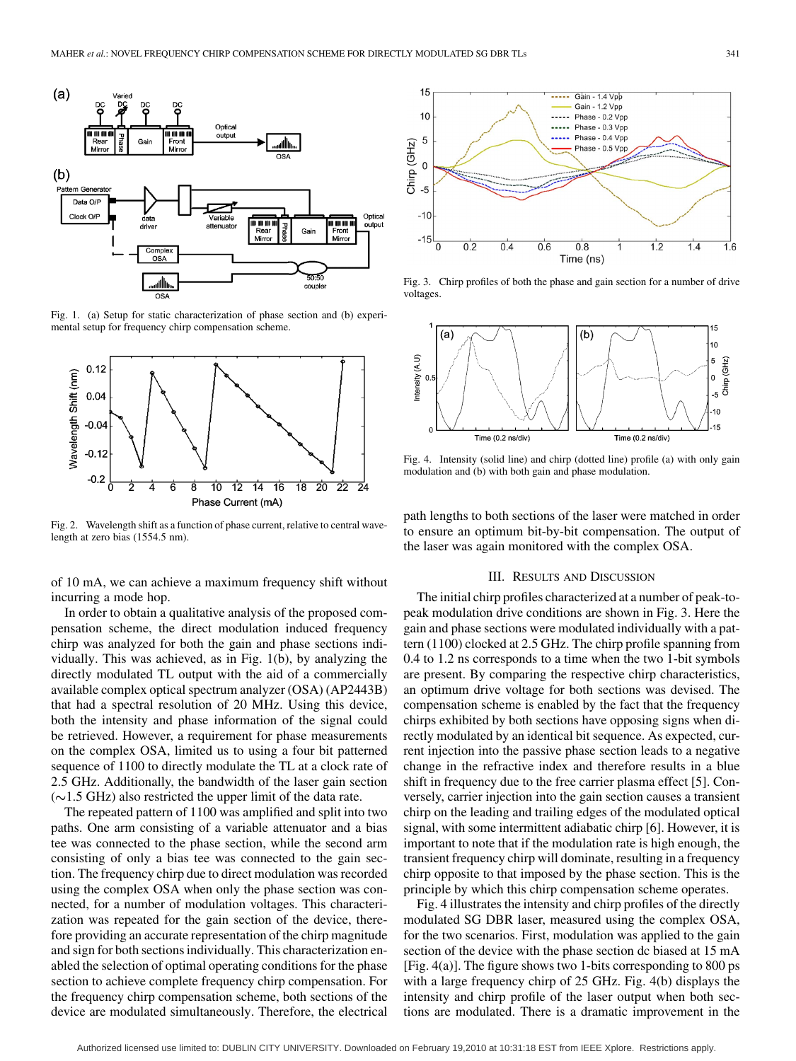

Fig. 1. (a) Setup for static characterization of phase section and (b) experimental setup for frequency chirp compensation scheme.



Fig. 2. Wavelength shift as a function of phase current, relative to central wavelength at zero bias (1554.5 nm).

of 10 mA, we can achieve a maximum frequency shift without incurring a mode hop.

In order to obtain a qualitative analysis of the proposed compensation scheme, the direct modulation induced frequency chirp was analyzed for both the gain and phase sections individually. This was achieved, as in Fig. 1(b), by analyzing the directly modulated TL output with the aid of a commercially available complex optical spectrum analyzer (OSA) (AP2443B) that had a spectral resolution of 20 MHz. Using this device, both the intensity and phase information of the signal could be retrieved. However, a requirement for phase measurements on the complex OSA, limited us to using a four bit patterned sequence of 1100 to directly modulate the TL at a clock rate of 2.5 GHz. Additionally, the bandwidth of the laser gain section  $(\sim 1.5$  GHz) also restricted the upper limit of the data rate.

The repeated pattern of 1100 was amplified and split into two paths. One arm consisting of a variable attenuator and a bias tee was connected to the phase section, while the second arm consisting of only a bias tee was connected to the gain section. The frequency chirp due to direct modulation was recorded using the complex OSA when only the phase section was connected, for a number of modulation voltages. This characterization was repeated for the gain section of the device, therefore providing an accurate representation of the chirp magnitude and sign for both sections individually. This characterization enabled the selection of optimal operating conditions for the phase section to achieve complete frequency chirp compensation. For the frequency chirp compensation scheme, both sections of the device are modulated simultaneously. Therefore, the electrical



Fig. 3. Chirp profiles of both the phase and gain section for a number of drive voltages.



Fig. 4. Intensity (solid line) and chirp (dotted line) profile (a) with only gain modulation and (b) with both gain and phase modulation.

path lengths to both sections of the laser were matched in order to ensure an optimum bit-by-bit compensation. The output of the laser was again monitored with the complex OSA.

## III. RESULTS AND DISCUSSION

The initial chirp profiles characterized at a number of peak-topeak modulation drive conditions are shown in Fig. 3. Here the gain and phase sections were modulated individually with a pattern (1100) clocked at 2.5 GHz. The chirp profile spanning from 0.4 to 1.2 ns corresponds to a time when the two 1-bit symbols are present. By comparing the respective chirp characteristics, an optimum drive voltage for both sections was devised. The compensation scheme is enabled by the fact that the frequency chirps exhibited by both sections have opposing signs when directly modulated by an identical bit sequence. As expected, current injection into the passive phase section leads to a negative change in the refractive index and therefore results in a blue shift in frequency due to the free carrier plasma effect [5]. Conversely, carrier injection into the gain section causes a transient chirp on the leading and trailing edges of the modulated optical signal, with some intermittent adiabatic chirp [6]. However, it is important to note that if the modulation rate is high enough, the transient frequency chirp will dominate, resulting in a frequency chirp opposite to that imposed by the phase section. This is the principle by which this chirp compensation scheme operates.

Fig. 4 illustrates the intensity and chirp profiles of the directly modulated SG DBR laser, measured using the complex OSA, for the two scenarios. First, modulation was applied to the gain section of the device with the phase section dc biased at 15 mA [Fig.  $4(a)$ ]. The figure shows two 1-bits corresponding to 800 ps with a large frequency chirp of 25 GHz. Fig. 4(b) displays the intensity and chirp profile of the laser output when both sections are modulated. There is a dramatic improvement in the